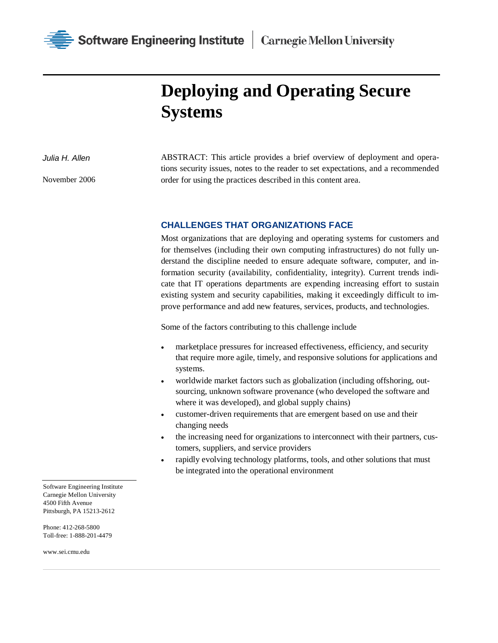

## **Deploying and Operating Secure Systems**

*Julia H. Allen*

November 2006

ABSTRACT: This article provides a brief overview of deployment and operations security issues, notes to the reader to set expectations, and a recommended order for using the practices described in this content area.

## **CHALLENGES THAT ORGANIZATIONS FACE**

Most organizations that are deploying and operating systems for customers and for themselves (including their own computing infrastructures) do not fully understand the discipline needed to ensure adequate software, computer, and information security (availability, confidentiality, integrity). Current trends indicate that IT operations departments are expending increasing effort to sustain existing system and security capabilities, making it exceedingly difficult to improve performance and add new features, services, products, and technologies.

Some of the factors contributing to this challenge include

- marketplace pressures for increased effectiveness, efficiency, and security that require more agile, timely, and responsive solutions for applications and systems.
- worldwide market factors such as globalization (including offshoring, outsourcing, unknown software provenance (who developed the software and where it was developed), and global supply chains)
- customer-driven requirements that are emergent based on use and their changing needs
- the increasing need for organizations to interconnect with their partners, customers, suppliers, and service providers
- rapidly evolving technology platforms, tools, and other solutions that must be integrated into the operational environment

Software Engineering Institute Carnegie Mellon University 4500 Fifth Avenue Pittsburgh, PA 15213-2612

Phone: 412-268-5800 Toll-free: 1-888-201-4479

www.sei.cmu.edu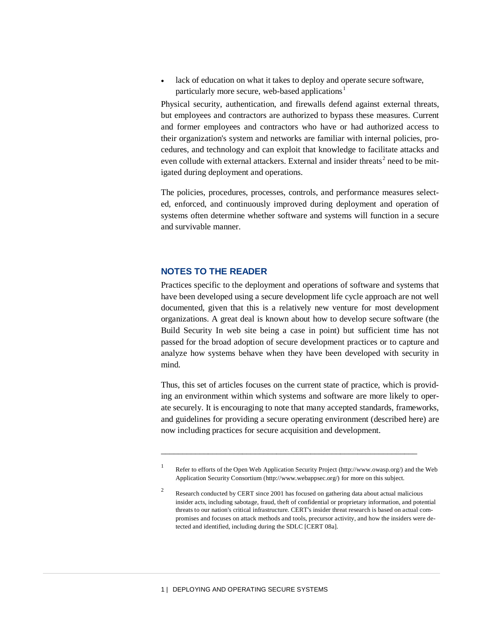• lack of education on what it takes to deploy and operate secure software, particularly more secure, web-based applications<sup>[1](#page-1-0)</sup>

Physical security, authentication, and firewalls defend against external threats, but employees and contractors are authorized to bypass these measures. Current and former employees and contractors who have or had authorized access to their organization's system and networks are familiar with internal policies, procedures, and technology and can exploit that knowledge to facilitate attacks and even collude with external attackers. External and insider threats<sup>[2](#page-1-1)</sup> need to be mitigated during deployment and operations.

The policies, procedures, processes, controls, and performance measures selected, enforced, and continuously improved during deployment and operation of systems often determine whether software and systems will function in a secure and survivable manner.

## **NOTES TO THE READER**

Practices specific to the deployment and operations of software and systems that have been developed using a secure development life cycle approach are not well documented, given that this is a relatively new venture for most development organizations. A great deal is known about how to develop secure software (the Build Security In web site being a case in point) but sufficient time has not passed for the broad adoption of secure development practices or to capture and analyze how systems behave when they have been developed with security in mind.

Thus, this set of articles focuses on the current state of practice, which is providing an environment within which systems and software are more likely to operate securely. It is encouraging to note that many accepted standards, frameworks, and guidelines for providing a secure operating environment (described here) are now including practices for secure acquisition and development.

\_\_\_\_\_\_\_\_\_\_\_\_\_\_\_\_\_\_\_\_\_\_\_\_\_\_\_\_\_\_\_\_\_\_\_\_\_\_\_\_\_\_\_\_\_\_\_\_\_\_\_\_\_\_\_\_\_\_\_\_

<sup>1</sup> Refer to efforts of the Open Web Application Security Project (http://www.owasp.org/) and the Web Application Security Consortium (http://www.webappsec.org/) for more on this subject.

<span id="page-1-1"></span><span id="page-1-0"></span><sup>&</sup>lt;sup>2</sup> Research conducted by CERT since 2001 has focused on gathering data about actual malicious insider acts, including sabotage, fraud, theft of confidential or proprietary information, and potential threats to our nation's critical infrastructure. CERT's insider threat research is based on actual compromises and focuses on attack methods and tools, precursor activity, and how the insiders were detected and identified, including during the SDLC [CERT 08a].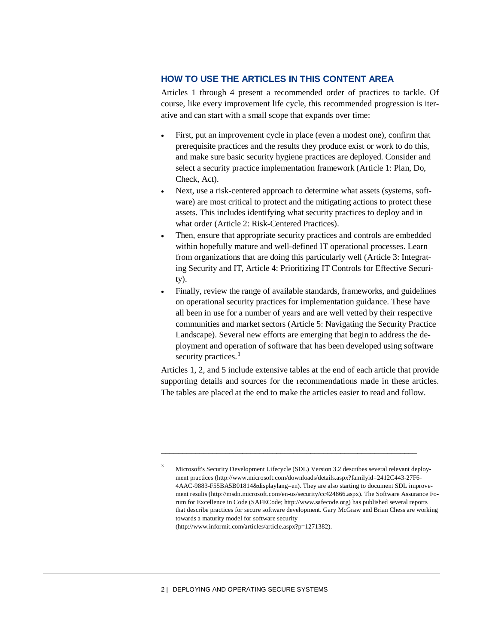## **HOW TO USE THE ARTICLES IN THIS CONTENT AREA**

Articles 1 through 4 present a recommended order of practices to tackle. Of course, like every improvement life cycle, this recommended progression is iterative and can start with a small scope that expands over time:

- First, put an improvement cycle in place (even a modest one), confirm that prerequisite practices and the results they produce exist or work to do this, and make sure basic security hygiene practices are deployed. Consider and select a security practice implementation framework (Article 1: Plan, Do, Check, Act).
- Next, use a risk-centered approach to determine what assets (systems, software) are most critical to protect and the mitigating actions to protect these assets. This includes identifying what security practices to deploy and in what order (Article 2: Risk-Centered Practices).
- Then, ensure that appropriate security practices and controls are embedded within hopefully mature and well-defined IT operational processes. Learn from organizations that are doing this particularly well (Article 3: Integrating Security and IT, Article 4: Prioritizing IT Controls for Effective Security).
- Finally, review the range of available standards, frameworks, and guidelines on operational security practices for implementation guidance. These have all been in use for a number of years and are well vetted by their respective communities and market sectors (Article 5: Navigating the Security Practice Landscape). Several new efforts are emerging that begin to address the deployment and operation of software that has been developed using software security practices.<sup>[3](#page-2-0)</sup>

Articles 1, 2, and 5 include extensive tables at the end of each article that provide supporting details and sources for the recommendations made in these articles. The tables are placed at the end to make the articles easier to read and follow.

\_\_\_\_\_\_\_\_\_\_\_\_\_\_\_\_\_\_\_\_\_\_\_\_\_\_\_\_\_\_\_\_\_\_\_\_\_\_\_\_\_\_\_\_\_\_\_\_\_\_\_\_\_\_\_\_\_\_\_\_

<span id="page-2-0"></span><sup>&</sup>lt;sup>3</sup> Microsoft's Security Development Lifecycle (SDL) Version 3.2 describes several relevant deployment practices (http://www.microsoft.com/downloads/details.aspx?familyid=2412C443-27F6- 4AAC-9883-F55BA5B01814&displaylang=en). They are also starting to document SDL improvement results (http://msdn.microsoft.com/en-us/security/cc424866.aspx). The Software Assurance Forum for Excellence in Code (SAFECode; http://www.safecode.org) has published several reports that describe practices for secure software development. Gary McGraw and Brian Chess are working towards a maturity model for software security (http://www.informit.com/articles/article.aspx?p=1271382).